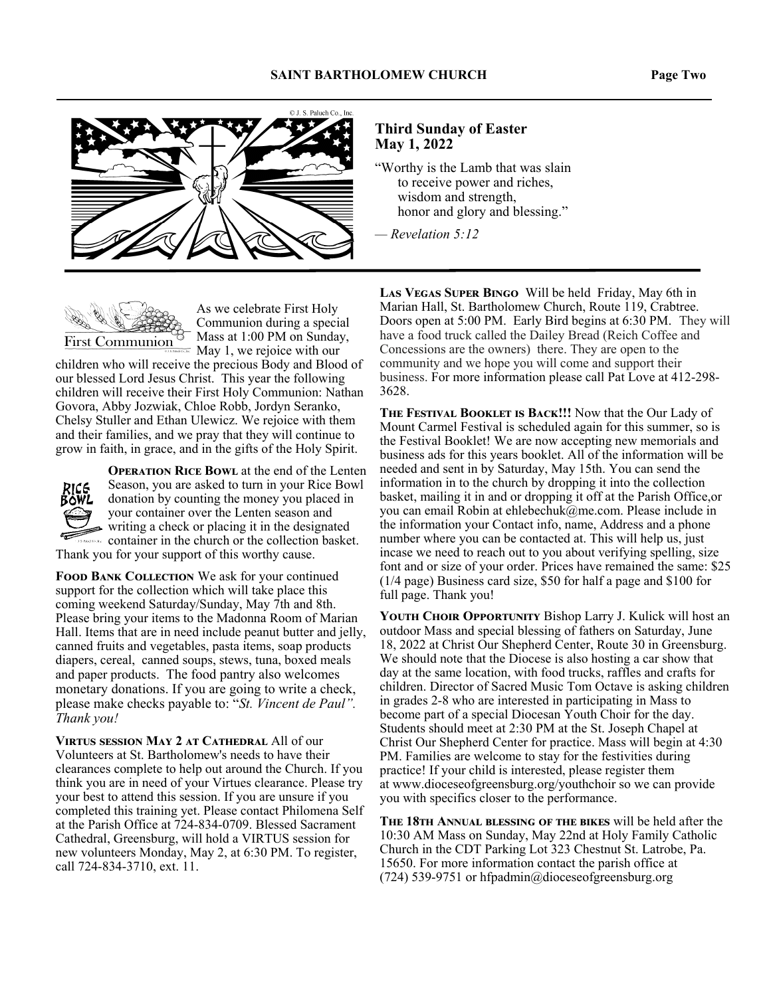



#### **Third Sunday of Easter May 1, 2022**

"Worthy is the Lamb that was slain to receive power and riches, wisdom and strength, honor and glory and blessing."

*— Revelation 5:12*



As we celebrate First Holy Communion during a special Mass at 1:00 PM on Sunday, May 1, we rejoice with our

children who will receive the precious Body and Blood of our blessed Lord Jesus Christ. This year the following children will receive their First Holy Communion: Nathan Govora, Abby Jozwiak, Chloe Robb, Jordyn Seranko, Chelsy Stuller and Ethan Ulewicz. We rejoice with them and their families, and we pray that they will continue to grow in faith, in grace, and in the gifts of the Holy Spirit.



**OPERATION RICE BOWL at the end of the Lenten** Season, you are asked to turn in your Rice Bowl donation by counting the money you placed in your container over the Lenten season and writing a check or placing it in the designated container in the church or the collection basket. Thank you for your support of this worthy cause.

FOOD BANK COLLECTION We ask for your continued support for the collection which will take place this coming weekend Saturday/Sunday, May 7th and 8th. Please bring your items to the Madonna Room of Marian Hall. Items that are in need include peanut butter and jelly, canned fruits and vegetables, pasta items, soap products diapers, cereal, canned soups, stews, tuna, boxed meals and paper products. The food pantry also welcomes monetary donations. If you are going to write a check, please make checks payable to: "*St. Vincent de Paul". Thank you!* 

**VIRTUS SESSION MAY 2 AT CATHEDRAL All of our** Volunteers at St. Bartholomew's needs to have their clearances complete to help out around the Church. If you think you are in need of your Virtues clearance. Please try your best to attend this session. If you are unsure if you completed this training yet. Please contact Philomena Self at the Parish Office at 724-834-0709. Blessed Sacrament Cathedral, Greensburg, will hold a VIRTUS session for new volunteers Monday, May 2, at 6:30 PM. To register, call 724-834-3710, ext. 11.

LAS VEGAS SUPER BINGO Will be held Friday, May 6th in Marian Hall, St. Bartholomew Church, Route 119, Crabtree. Doors open at 5:00 PM. Early Bird begins at 6:30 PM. They will have a food truck called the Dailey Bread (Reich Coffee and Concessions are the owners) there. They are open to the community and we hope you will come and support their business. For more information please call Pat Love at 412-298- 3628.

THE FESTIVAL BOOKLET IS BACK!!! Now that the Our Lady of Mount Carmel Festival is scheduled again for this summer, so is the Festival Booklet! We are now accepting new memorials and business ads for this years booklet. All of the information will be needed and sent in by Saturday, May 15th. You can send the information in to the church by dropping it into the collection basket, mailing it in and or dropping it off at the Parish Office,or you can email Robin at ehlebechuk@me.com. Please include in the information your Contact info, name, Address and a phone number where you can be contacted at. This will help us, just incase we need to reach out to you about verifying spelling, size font and or size of your order. Prices have remained the same: \$25 (1/4 page) Business card size, \$50 for half a page and \$100 for full page. Thank you!

YOUTH CHOIR OPPORTUNITY Bishop Larry J. Kulick will host an outdoor Mass and special blessing of fathers on Saturday, June 18, 2022 at Christ Our Shepherd Center, Route 30 in Greensburg. We should note that the Diocese is also hosting a car show that day at the same location, with food trucks, raffles and crafts for children. Director of Sacred Music Tom Octave is asking children in grades 2-8 who are interested in participating in Mass to become part of a special Diocesan Youth Choir for the day. Students should meet at 2:30 PM at the St. Joseph Chapel at Christ Our Shepherd Center for practice. Mass will begin at 4:30 PM. Families are welcome to stay for the festivities during practice! If your child is interested, please register them at www.dioceseofgreensburg.org/youthchoir so we can provide you with specifics closer to the performance.

THE 18TH ANNUAL BLESSING OF THE BIKES will be held after the 10:30 AM Mass on Sunday, May 22nd at Holy Family Catholic Church in the CDT Parking Lot 323 Chestnut St. Latrobe, Pa. 15650. For more information contact the parish office at (724) 539-9751 or hfpadmin@dioceseofgreensburg.org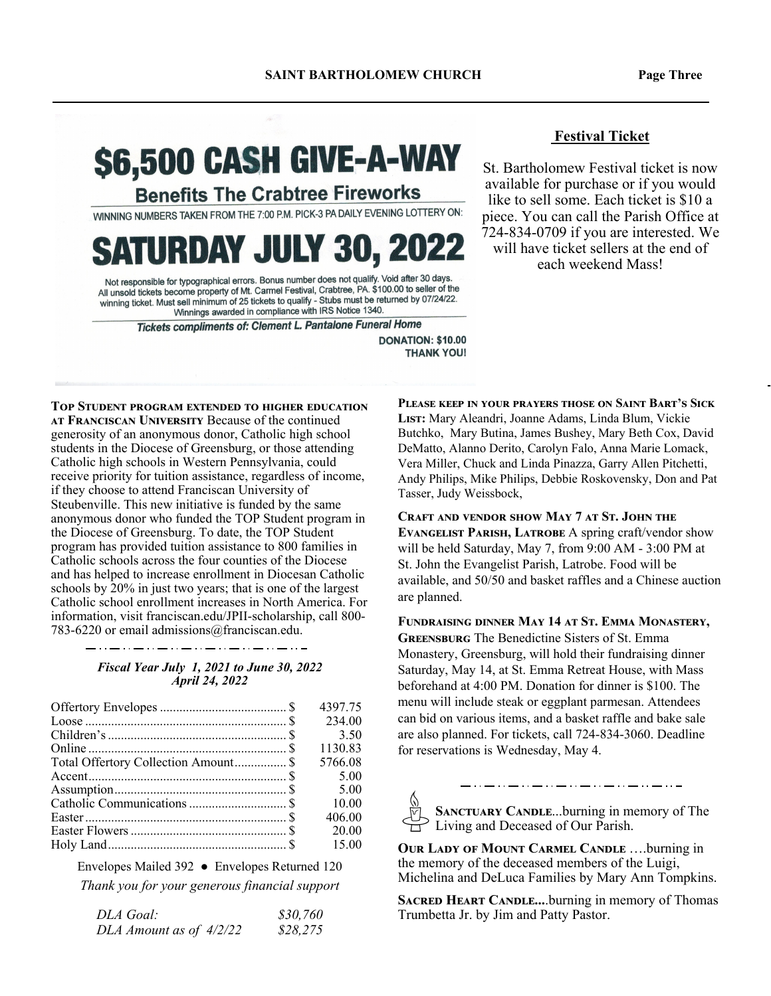# \$6,500 CASH GIVE-A-WAY

**Benefits The Crabtree Fireworks** 

WINNING NUMBERS TAKEN FROM THE 7:00 P.M. PICK-3 PA DAILY EVENING LOTTERY ON:

## **SATURDAY JULY 30, 2022**

Not responsible for typographical errors. Bonus number does not qualify. Void after 30 days Not responsible for typographical errors. Bonus number does not duality, void after 50 days.<br>All unsold tickets become property of Mt. Carmel Festival, Crabtree, PA, \$100.00 to seller of the winning ticket. Must sell minimum of 25 tickets to qualify - Stubs must be returned by 07/24/22. Winnings awarded in compliance with IRS Notice 1340.

Tickets compliments of: Clement L. Pantalone Funeral Home

**DONATION: \$10.00 THANK YOU!** 

**TOP STUDENT PROGRAM EXTENDED TO HIGHER EDUCATION** AT FRANCISCAN UNIVERSITY Because of the continued generosity of an anonymous donor, Catholic high school students in the Diocese of Greensburg, or those attending Catholic high schools in Western Pennsylvania, could receive priority for tuition assistance, regardless of income, if they choose to attend Franciscan University of Steubenville. This new initiative is funded by the same anonymous donor who funded the TOP Student program in the Diocese of Greensburg. To date, the TOP Student program has provided tuition assistance to 800 families in Catholic schools across the four counties of the Diocese and has helped to increase enrollment in Diocesan Catholic schools by 20% in just two years; that is one of the largest Catholic school enrollment increases in North America. For information, visit franciscan.edu/JPII-scholarship, call 800- 783-6220 or email admissions@franciscan.edu.

#### *Fiscal Year July 1, 2021 to June 30, 2022 April 24, 2022*

|                                                                                                                            | 4397.75 |
|----------------------------------------------------------------------------------------------------------------------------|---------|
| Loose $\ldots$ $\ldots$ $\ldots$ $\ldots$ $\ldots$ $\ldots$ $\ldots$ $\ldots$ $\ldots$ $\ldots$ $\ldots$ $\ldots$ $\ldots$ | 234.00  |
|                                                                                                                            | 3.50    |
|                                                                                                                            | 1130.83 |
| Total Offertory Collection Amount \$                                                                                       | 5766.08 |
|                                                                                                                            | 5.00    |
|                                                                                                                            | 5.00    |
|                                                                                                                            | 10.00   |
|                                                                                                                            | 406.00  |
|                                                                                                                            | 20.00   |
|                                                                                                                            | 15.00   |

Envelopes Mailed 392 ● Envelopes Returned 120 *Thank you for your generous financial support* 

| DLA Goal:               | \$30,760 |
|-------------------------|----------|
| DLA Amount as of 4/2/22 | \$28,275 |

#### **Festival Ticket**

St. Bartholomew Festival ticket is now available for purchase or if you would like to sell some. Each ticket is \$10 a piece. You can call the Parish Office at 724-834-0709 if you are interested. We will have ticket sellers at the end of each weekend Mass!

**PLEASE KEEP IN YOUR PRAYERS THOSE ON SAINT BART'S SICK** LIST: Mary Aleandri, Joanne Adams, Linda Blum, Vickie Butchko, Mary Butina, James Bushey, Mary Beth Cox, David DeMatto, Alanno Derito, Carolyn Falo, Anna Marie Lomack, Vera Miller, Chuck and Linda Pinazza, Garry Allen Pitchetti, Andy Philips, Mike Philips, Debbie Roskovensky, Don and Pat Tasser, Judy Weissbock,

CRAFT AND VENDOR SHOW MAY 7 AT ST. JOHN THE EVANGELIST PARISH, LATROBE A spring craft/vendor show will be held Saturday, May 7, from 9:00 AM - 3:00 PM at St. John the Evangelist Parish, Latrobe. Food will be available, and 50/50 and basket raffles and a Chinese auction are planned.

FUNDRAISING DINNER MAY 14 AT ST. EMMA MONASTERY, **GREENSBURG** The Benedictine Sisters of St. Emma Monastery, Greensburg, will hold their fundraising dinner Saturday, May 14, at St. Emma Retreat House, with Mass beforehand at 4:00 PM. Donation for dinner is \$100. The menu will include steak or eggplant parmesan. Attendees can bid on various items, and a basket raffle and bake sale are also planned. For tickets, call 724-834-3060. Deadline for reservations is Wednesday, May 4.

SANCTUARY CANDLE...burning in memory of The Living and Deceased of Our Parish.

**OUR LADY OF MOUNT CARMEL CANDLE ....burning in** the memory of the deceased members of the Luigi, Michelina and DeLuca Families by Mary Ann Tompkins.

**SACRED HEART CANDLE....**burning in memory of Thomas Trumbetta Jr. by Jim and Patty Pastor.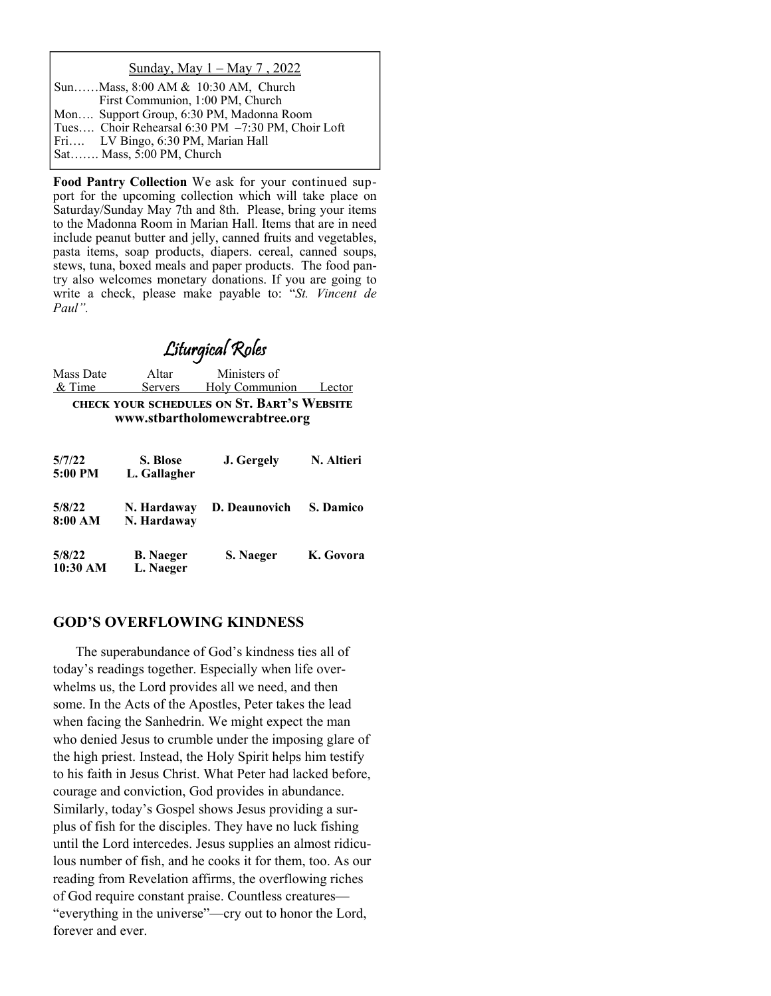#### Sunday, May 1 – May 7 , 2022

| SunMass, 8:00 AM & 10:30 AM, Church               |
|---------------------------------------------------|
| First Communion, 1:00 PM, Church                  |
| Mon Support Group, 6:30 PM, Madonna Room          |
| Tues Choir Rehearsal 6:30 PM -7:30 PM, Choir Loft |
| Fri LV Bingo, 6:30 PM, Marian Hall                |
| Sat Mass, 5:00 PM, Church                         |

**Food Pantry Collection** We ask for your continued support for the upcoming collection which will take place on Saturday/Sunday May 7th and 8th. Please, bring your items to the Madonna Room in Marian Hall. Items that are in need include peanut butter and jelly, canned fruits and vegetables, pasta items, soap products, diapers. cereal, canned soups, stews, tuna, boxed meals and paper products. The food pantry also welcomes monetary donations. If you are going to write a check, please make payable to: "*St. Vincent de Paul".* 

### Liturgical Roles

Mass Date Altar Ministers of & Time Servers Holy Communion Lector **CHECK YOUR SCHEDULES ON ST. BART'S WEBSITE www.stbartholomewcrabtree.org** 

| 5/7/22<br>5:00 PM  | S. Blose<br>L. Gallagher      | J. Gergely    | N. Altieri       |
|--------------------|-------------------------------|---------------|------------------|
| 5/8/22<br>8:00 AM  | N. Hardaway<br>N. Hardaway    | D. Deaunovich | <b>S. Damico</b> |
| 5/8/22<br>10:30 AM | <b>B.</b> Naeger<br>L. Naeger | S. Naeger     | K. Govora        |

#### **GOD'S OVERFLOWING KINDNESS**

 The superabundance of God's kindness ties all of today's readings together. Especially when life overwhelms us, the Lord provides all we need, and then some. In the Acts of the Apostles, Peter takes the lead when facing the Sanhedrin. We might expect the man who denied Jesus to crumble under the imposing glare of the high priest. Instead, the Holy Spirit helps him testify to his faith in Jesus Christ. What Peter had lacked before, courage and conviction, God provides in abundance. Similarly, today's Gospel shows Jesus providing a surplus of fish for the disciples. They have no luck fishing until the Lord intercedes. Jesus supplies an almost ridiculous number of fish, and he cooks it for them, too. As our reading from Revelation affirms, the overflowing riches of God require constant praise. Countless creatures— "everything in the universe"—cry out to honor the Lord, forever and ever.